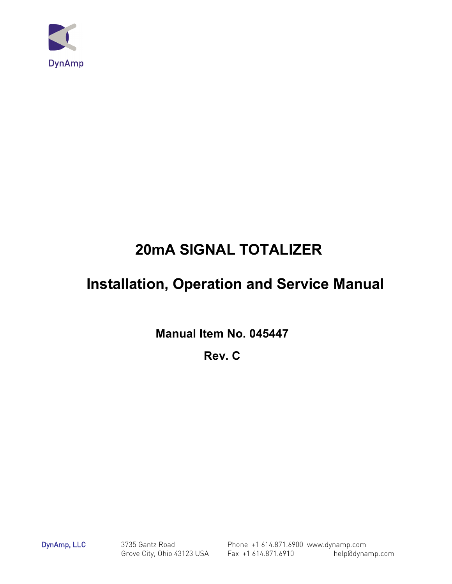

# **20mA SIGNAL TOTALIZER**

# **Installation, Operation and Service Manual**

**Manual Item No. 045447** 

**Rev. C**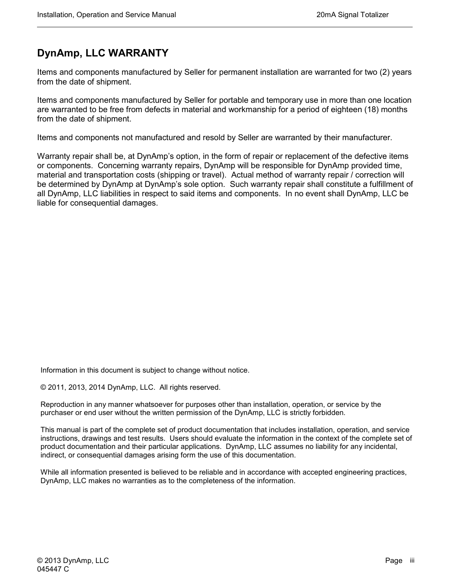### **DynAmp, LLC WARRANTY**

Items and components manufactured by Seller for permanent installation are warranted for two (2) years from the date of shipment.

Items and components manufactured by Seller for portable and temporary use in more than one location are warranted to be free from defects in material and workmanship for a period of eighteen (18) months from the date of shipment.

Items and components not manufactured and resold by Seller are warranted by their manufacturer.

Warranty repair shall be, at DynAmp's option, in the form of repair or replacement of the defective items or components. Concerning warranty repairs, DynAmp will be responsible for DynAmp provided time, material and transportation costs (shipping or travel). Actual method of warranty repair / correction will be determined by DynAmp at DynAmp's sole option. Such warranty repair shall constitute a fulfillment of all DynAmp, LLC liabilities in respect to said items and components. In no event shall DynAmp, LLC be liable for consequential damages.

Information in this document is subject to change without notice.

© 2011, 2013, 2014 DynAmp, LLC. All rights reserved.

Reproduction in any manner whatsoever for purposes other than installation, operation, or service by the purchaser or end user without the written permission of the DynAmp, LLC is strictly forbidden.

This manual is part of the complete set of product documentation that includes installation, operation, and service instructions, drawings and test results. Users should evaluate the information in the context of the complete set of product documentation and their particular applications. DynAmp, LLC assumes no liability for any incidental, indirect, or consequential damages arising form the use of this documentation.

While all information presented is believed to be reliable and in accordance with accepted engineering practices, DynAmp, LLC makes no warranties as to the completeness of the information.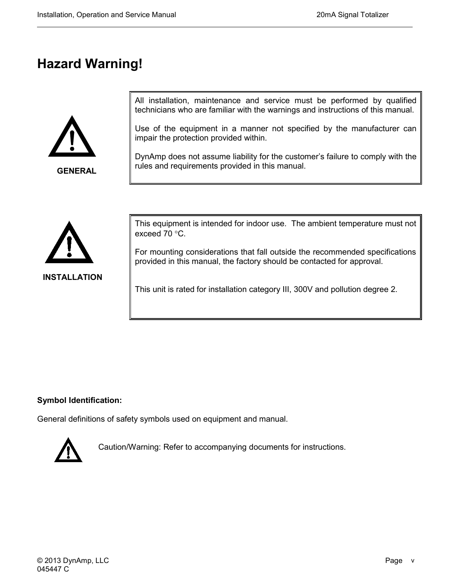## **Hazard Warning!**



**GENERAL**

All installation, maintenance and service must be performed by qualified technicians who are familiar with the warnings and instructions of this manual.

Use of the equipment in a manner not specified by the manufacturer can impair the protection provided within.

DynAmp does not assume liability for the customer's failure to comply with the rules and requirements provided in this manual.



This equipment is intended for indoor use. The ambient temperature must not exceed 70 °C.

For mounting considerations that fall outside the recommended specifications provided in this manual, the factory should be contacted for approval.

This unit is rated for installation category III, 300V and pollution degree 2.

#### **Symbol Identification:**

General definitions of safety symbols used on equipment and manual.



Caution/Warning: Refer to accompanying documents for instructions.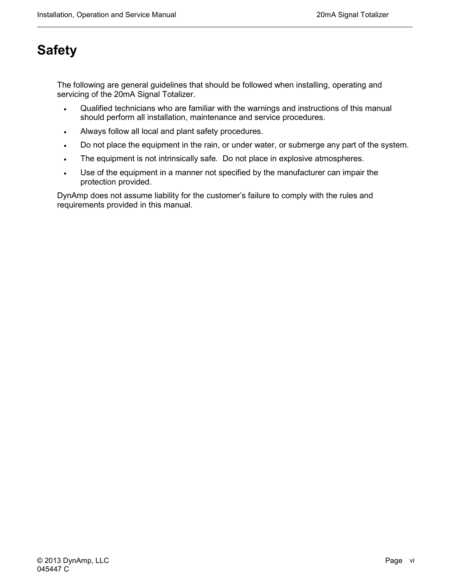## **Safety**

The following are general guidelines that should be followed when installing, operating and servicing of the 20mA Signal Totalizer.

- Qualified technicians who are familiar with the warnings and instructions of this manual should perform all installation, maintenance and service procedures.
- Always follow all local and plant safety procedures.
- Do not place the equipment in the rain, or under water, or submerge any part of the system.
- The equipment is not intrinsically safe. Do not place in explosive atmospheres.
- Use of the equipment in a manner not specified by the manufacturer can impair the protection provided.

DynAmp does not assume liability for the customer's failure to comply with the rules and requirements provided in this manual.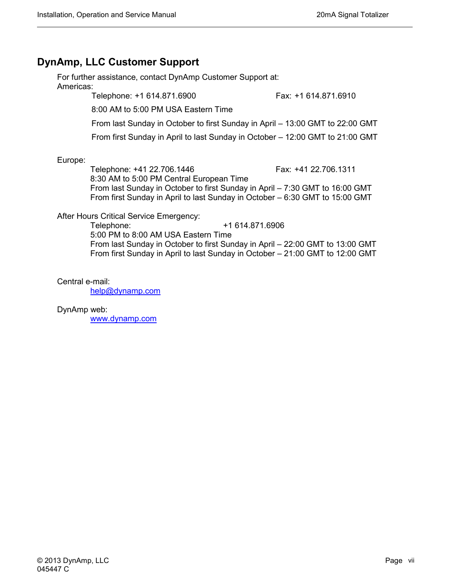### **DynAmp, LLC Customer Support**

For further assistance, contact DynAmp Customer Support at: Americas:

Telephone: +1 614.871.6900 Fax: +1 614.871.6910

8:00 AM to 5:00 PM USA Eastern Time

From last Sunday in October to first Sunday in April – 13:00 GMT to 22:00 GMT

From first Sunday in April to last Sunday in October – 12:00 GMT to 21:00 GMT

Europe:

Telephone: +41 22.706.1446 Fax: +41 22.706.1311 8:30 AM to 5:00 PM Central European Time From last Sunday in October to first Sunday in April – 7:30 GMT to 16:00 GMT From first Sunday in April to last Sunday in October – 6:30 GMT to 15:00 GMT

After Hours Critical Service Emergency:

Telephone: +1 614.871.6906 5:00 PM to 8:00 AM USA Eastern Time From last Sunday in October to first Sunday in April – 22:00 GMT to 13:00 GMT From first Sunday in April to last Sunday in October – 21:00 GMT to 12:00 GMT

Central e-mail:

[help@dynamp.com](mailto:help@dynamp.com)

DynAmp web:

[www.dynamp.com](http://www.dynamp.com/)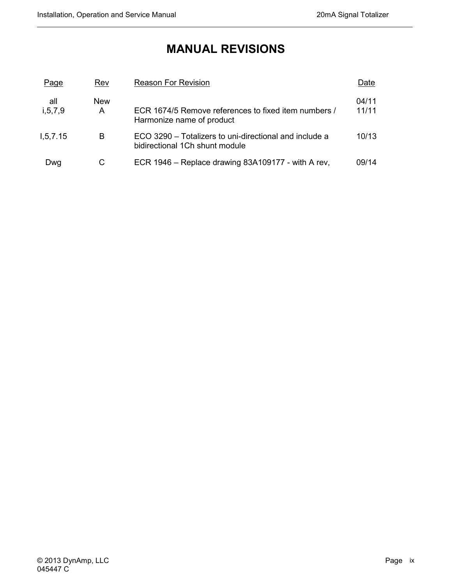### **MANUAL REVISIONS**

| Page              | Rev             | <b>Reason For Revision</b>                                                               | Date           |
|-------------------|-----------------|------------------------------------------------------------------------------------------|----------------|
| all<br>i, 5, 7, 9 | <b>New</b><br>A | ECR 1674/5 Remove references to fixed item numbers /<br>Harmonize name of product        | 04/11<br>11/11 |
| 1, 5, 7.15        | В               | ECO 3290 – Totalizers to uni-directional and include a<br>bidirectional 1Ch shunt module | 10/13          |
| Dwg               | С               | ECR 1946 – Replace drawing 83A109177 - with A rev,                                       | 09/14          |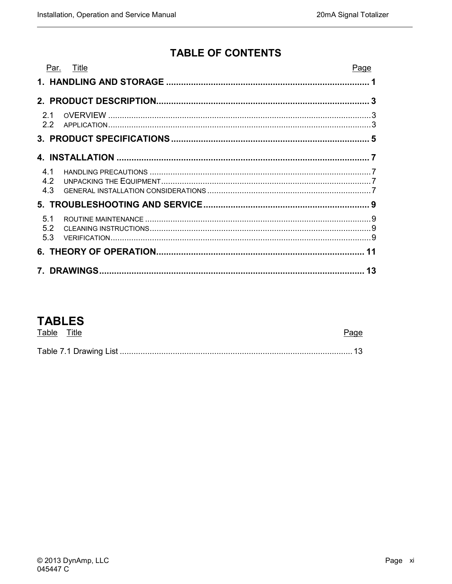### **TABLE OF CONTENTS**

|     | Par. Title | Page |
|-----|------------|------|
|     |            |      |
|     |            |      |
| 2.1 |            |      |
| 2.2 |            |      |
|     |            |      |
|     |            |      |
| 4.1 |            |      |
| 4.2 |            |      |
| 4.3 |            |      |
|     |            |      |
| 5.1 |            |      |
| 5.2 |            |      |
| 5.3 |            |      |
|     |            |      |
|     |            | 13   |

### **TABLES**

| Table Title |  |
|-------------|--|
|             |  |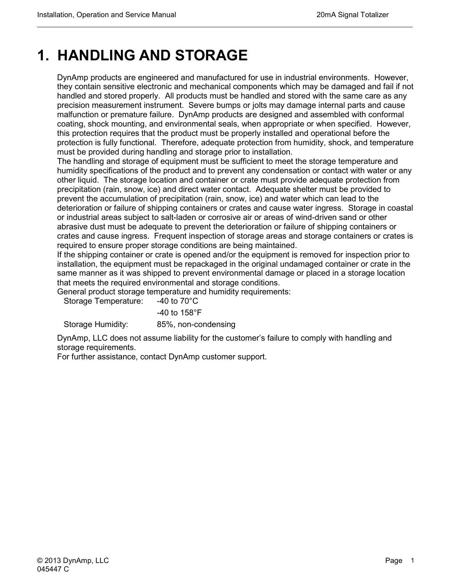## <span id="page-12-0"></span>**1. HANDLING AND STORAGE**

DynAmp products are engineered and manufactured for use in industrial environments. However, they contain sensitive electronic and mechanical components which may be damaged and fail if not handled and stored properly. All products must be handled and stored with the same care as any precision measurement instrument. Severe bumps or jolts may damage internal parts and cause malfunction or premature failure. DynAmp products are designed and assembled with conformal coating, shock mounting, and environmental seals, when appropriate or when specified. However, this protection requires that the product must be properly installed and operational before the protection is fully functional. Therefore, adequate protection from humidity, shock, and temperature must be provided during handling and storage prior to installation.

The handling and storage of equipment must be sufficient to meet the storage temperature and humidity specifications of the product and to prevent any condensation or contact with water or any other liquid. The storage location and container or crate must provide adequate protection from precipitation (rain, snow, ice) and direct water contact. Adequate shelter must be provided to prevent the accumulation of precipitation (rain, snow, ice) and water which can lead to the deterioration or failure of shipping containers or crates and cause water ingress. Storage in coastal or industrial areas subject to salt-laden or corrosive air or areas of wind-driven sand or other abrasive dust must be adequate to prevent the deterioration or failure of shipping containers or crates and cause ingress. Frequent inspection of storage areas and storage containers or crates is required to ensure proper storage conditions are being maintained.

If the shipping container or crate is opened and/or the equipment is removed for inspection prior to installation, the equipment must be repackaged in the original undamaged container or crate in the same manner as it was shipped to prevent environmental damage or placed in a storage location that meets the required environmental and storage conditions.

General product storage temperature and humidity requirements:

Storage Temperature: -40 to 70°C

 -40 to 158°F Storage Humidity: 85%, non-condensing

DynAmp, LLC does not assume liability for the customer's failure to comply with handling and storage requirements.

For further assistance, contact DynAmp customer support.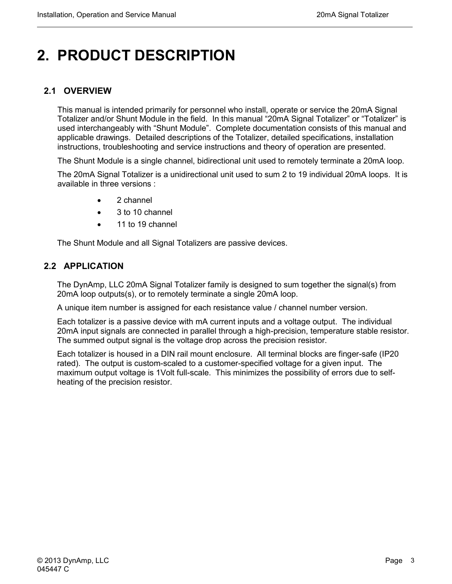# <span id="page-14-0"></span>**2. PRODUCT DESCRIPTION**

### <span id="page-14-1"></span>**2.1 OVERVIEW**

This manual is intended primarily for personnel who install, operate or service the 20mA Signal Totalizer and/or Shunt Module in the field. In this manual "20mA Signal Totalizer" or "Totalizer" is used interchangeably with "Shunt Module". Complete documentation consists of this manual and applicable drawings. Detailed descriptions of the Totalizer, detailed specifications, installation instructions, troubleshooting and service instructions and theory of operation are presented.

The Shunt Module is a single channel, bidirectional unit used to remotely terminate a 20mA loop.

The 20mA Signal Totalizer is a unidirectional unit used to sum 2 to 19 individual 20mA loops. It is available in three versions :

- 2 channel
- 3 to 10 channel
- 11 to 19 channel

The Shunt Module and all Signal Totalizers are passive devices.

#### <span id="page-14-2"></span>**2.2 APPLICATION**

The DynAmp, LLC 20mA Signal Totalizer family is designed to sum together the signal(s) from 20mA loop outputs(s), or to remotely terminate a single 20mA loop.

A unique item number is assigned for each resistance value / channel number version.

Each totalizer is a passive device with mA current inputs and a voltage output. The individual 20mA input signals are connected in parallel through a high-precision, temperature stable resistor. The summed output signal is the voltage drop across the precision resistor.

Each totalizer is housed in a DIN rail mount enclosure. All terminal blocks are finger-safe (IP20 rated). The output is custom-scaled to a customer-specified voltage for a given input. The maximum output voltage is 1Volt full-scale. This minimizes the possibility of errors due to selfheating of the precision resistor.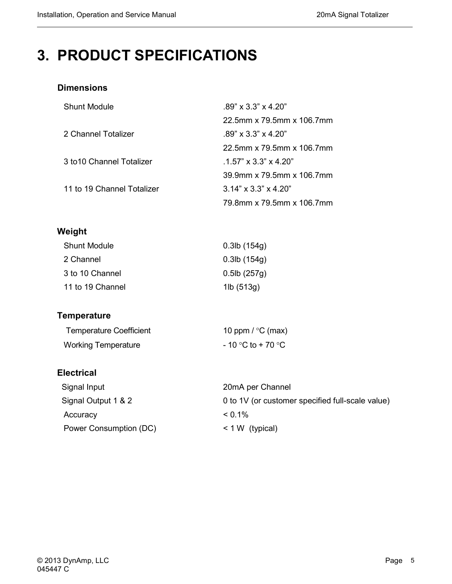## <span id="page-16-0"></span>**3. PRODUCT SPECIFICATIONS**

#### **Dimensions**

| <b>Shunt Module</b>        | $.89'' \times 3.3'' \times 4.20''$ |
|----------------------------|------------------------------------|
|                            | 22.5mm x 79.5mm x 106.7mm          |
| 2 Channel Totalizer        | $.89'' \times 3.3'' \times 4.20''$ |
|                            | 22.5mm x 79.5mm x 106.7mm          |
| 3 to 10 Channel Totalizer  | $1.57$ " x $3.3$ " x $4.20$ "      |
|                            | 39.9mm x 79.5mm x 106.7mm          |
| 11 to 19 Channel Totalizer | $3.14" \times 3.3" \times 4.20"$   |
|                            | 79.8mm x 79.5mm x 106.7mm          |

### **Weight**

| Shunt Module     | $0.3$ lb $(154g)$      |
|------------------|------------------------|
| 2 Channel        | $0.3$ lb $(154g)$      |
| 3 to 10 Channel  | $0.5$ lb $(257g)$      |
| 11 to 19 Channel | 1 $\mathsf{lb}$ (513g) |

### **Temperature**

| <b>Temperature Coefficient</b> | 10 ppm / $\degree$ C (max) |
|--------------------------------|----------------------------|
| <b>Working Temperature</b>     | $-10$ °C to + 70 °C        |

#### **Electrical**

| Signal Input           | 20mA per Channel                                 |
|------------------------|--------------------------------------------------|
| Signal Output 1 & 2    | 0 to 1V (or customer specified full-scale value) |
| Accuracy               | $< 0.1\%$                                        |
| Power Consumption (DC) | $< 1 W$ (typical)                                |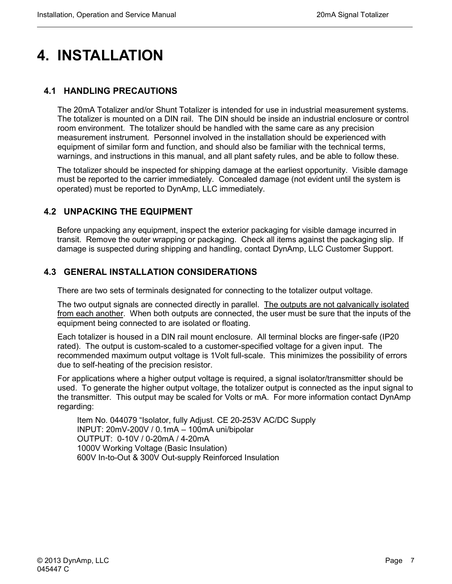## <span id="page-18-0"></span>**4. INSTALLATION**

### <span id="page-18-1"></span>**4.1 HANDLING PRECAUTIONS**

The 20mA Totalizer and/or Shunt Totalizer is intended for use in industrial measurement systems. The totalizer is mounted on a DIN rail. The DIN should be inside an industrial enclosure or control room environment. The totalizer should be handled with the same care as any precision measurement instrument. Personnel involved in the installation should be experienced with equipment of similar form and function, and should also be familiar with the technical terms, warnings, and instructions in this manual, and all plant safety rules, and be able to follow these.

The totalizer should be inspected for shipping damage at the earliest opportunity. Visible damage must be reported to the carrier immediately. Concealed damage (not evident until the system is operated) must be reported to DynAmp, LLC immediately.

#### <span id="page-18-2"></span>**4.2 UNPACKING THE EQUIPMENT**

Before unpacking any equipment, inspect the exterior packaging for visible damage incurred in transit. Remove the outer wrapping or packaging. Check all items against the packaging slip. If damage is suspected during shipping and handling, contact DynAmp, LLC Customer Support.

### <span id="page-18-3"></span>**4.3 GENERAL INSTALLATION CONSIDERATIONS**

There are two sets of terminals designated for connecting to the totalizer output voltage.

The two output signals are connected directly in parallel. The outputs are not galvanically isolated from each another. When both outputs are connected, the user must be sure that the inputs of the equipment being connected to are isolated or floating.

Each totalizer is housed in a DIN rail mount enclosure. All terminal blocks are finger-safe (IP20 rated). The output is custom-scaled to a customer-specified voltage for a given input. The recommended maximum output voltage is 1Volt full-scale. This minimizes the possibility of errors due to self-heating of the precision resistor.

For applications where a higher output voltage is required, a signal isolator/transmitter should be used. To generate the higher output voltage, the totalizer output is connected as the input signal to the transmitter. This output may be scaled for Volts or mA. For more information contact DynAmp regarding:

Item No. 044079 "Isolator, fully Adjust. CE 20-253V AC/DC Supply INPUT: 20mV-200V / 0.1mA – 100mA uni/bipolar OUTPUT: 0-10V / 0-20mA / 4-20mA 1000V Working Voltage (Basic Insulation) 600V In-to-Out & 300V Out-supply Reinforced Insulation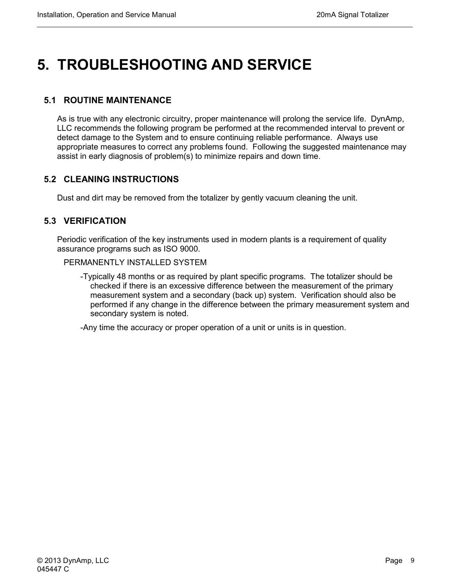# <span id="page-20-0"></span>**5. TROUBLESHOOTING AND SERVICE**

### <span id="page-20-1"></span>**5.1 ROUTINE MAINTENANCE**

As is true with any electronic circuitry, proper maintenance will prolong the service life. DynAmp, LLC recommends the following program be performed at the recommended interval to prevent or detect damage to the System and to ensure continuing reliable performance. Always use appropriate measures to correct any problems found. Following the suggested maintenance may assist in early diagnosis of problem(s) to minimize repairs and down time.

#### <span id="page-20-2"></span>**5.2 CLEANING INSTRUCTIONS**

Dust and dirt may be removed from the totalizer by gently vacuum cleaning the unit.

#### <span id="page-20-3"></span>**5.3 VERIFICATION**

Periodic verification of the key instruments used in modern plants is a requirement of quality assurance programs such as ISO 9000.

#### PERMANENTLY INSTALLED SYSTEM

-Typically 48 months or as required by plant specific programs. The totalizer should be checked if there is an excessive difference between the measurement of the primary measurement system and a secondary (back up) system. Verification should also be performed if any change in the difference between the primary measurement system and secondary system is noted.

-Any time the accuracy or proper operation of a unit or units is in question.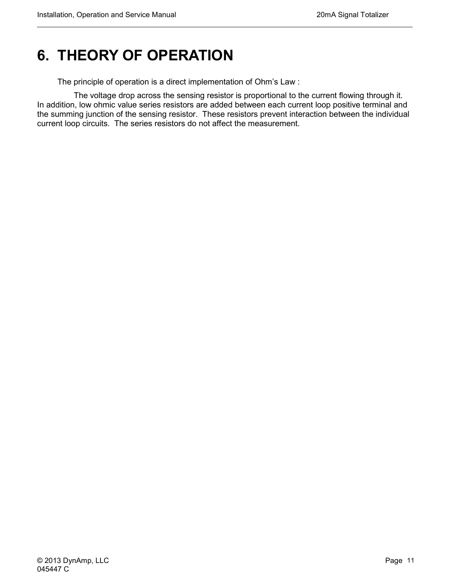## <span id="page-22-0"></span>**6. THEORY OF OPERATION**

The principle of operation is a direct implementation of Ohm's Law :

 The voltage drop across the sensing resistor is proportional to the current flowing through it. In addition, low ohmic value series resistors are added between each current loop positive terminal and the summing junction of the sensing resistor. These resistors prevent interaction between the individual current loop circuits. The series resistors do not affect the measurement.